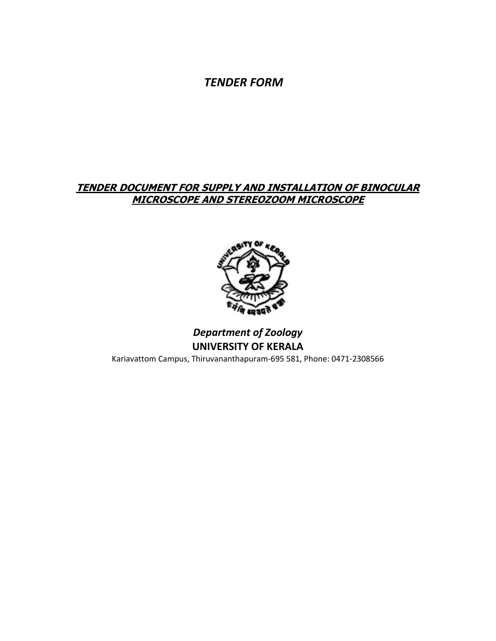*TENDER FORM*

# **TENDER DOCUMENT FOR SUPPLY AND INSTALLATION OF BINOCULAR MICROSCOPE AND STEREOZOOM MICROSCOPE**



# *Department of Zoology* **UNIVERSITY OF KERALA** Kariavattom Campus, Thiruvananthapuram-695 581, Phone: 0471-2308566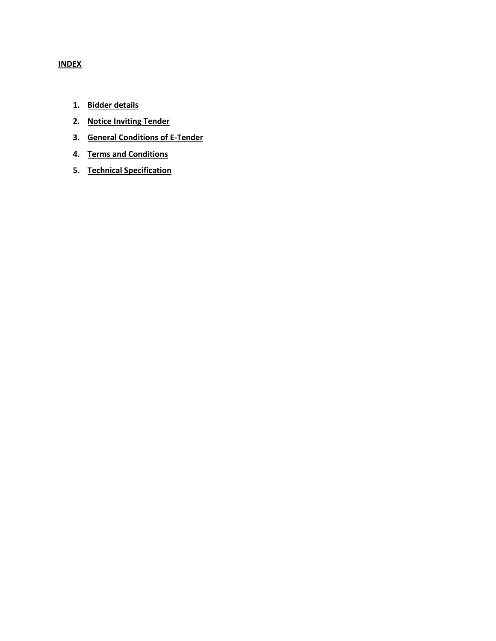# **INDEX**

- **1. Bidder details**
- **2. Notice Inviting Tender**
- **3. General Conditions of E-Tender**
- **4. Terms and Conditions**
- **5. Technical Specification**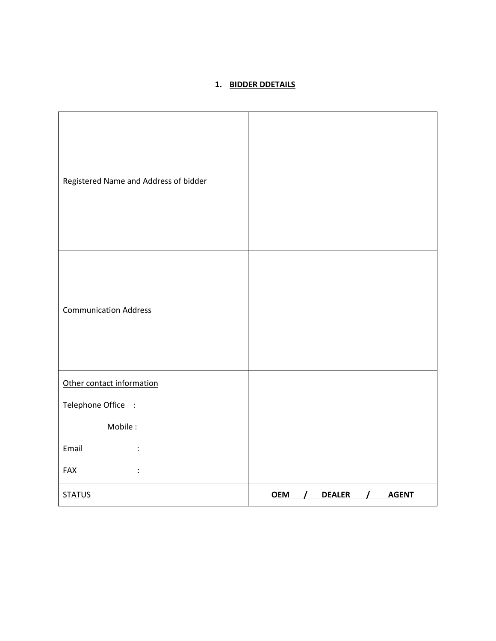# **1. BIDDER DDETAILS**

| Registered Name and Address of bidder |                                        |
|---------------------------------------|----------------------------------------|
| <b>Communication Address</b>          |                                        |
| Other contact information             |                                        |
| Telephone Office :                    |                                        |
| Mobile:                               |                                        |
| Email                                 |                                        |
| FAX<br>$\ddot{\cdot}$                 |                                        |
| <b>STATUS</b>                         | <b>OEM</b><br><b>DEALER</b><br>/ AGENT |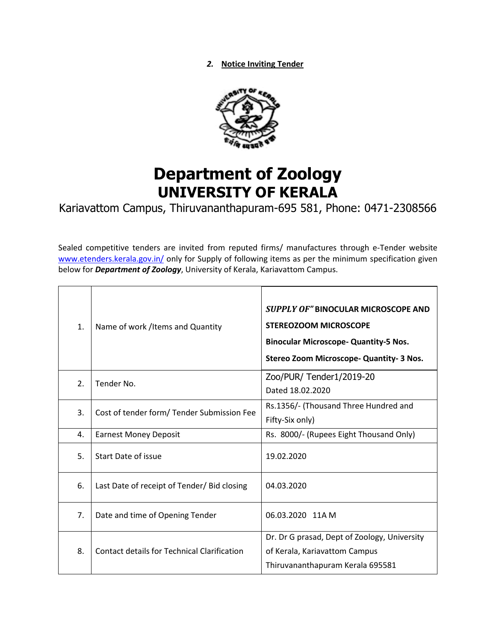*2.* **Notice Inviting Tender**



# **Department of Zoology UNIVERSITY OF KERALA**

Kariavattom Campus, Thiruvananthapuram-695 581, Phone: 0471-2308566

Sealed competitive tenders are invited from reputed firms/ manufactures through e-Tender website [www.etenders.kerala.gov.in/](https://ccs.infospace.com/ClickHandler.ashx?encp=ld%3d20170109%26app%3d1%26c%3dAV772%26s%3dAV%26rc%3dAV772%26dc%3d%26euip%3d14.139.185.66%26pvaid%3d2fff3e2f9055433ab11c696db3d5a687%26dt%3dDesktop%26vid%3d606190505.3343461609909.1482987607.2%26fct.uid%3d0d1bb2749021432fbf9cba1c886d4a98%26en%3dpAiBppRwHTqgtNHR9bC%252fflewzJRnoFdL3QeqYP%252bQUQU%253d%26ru%3dhttps%253a%252f%252fwww.etenders.kerala.gov.in%252f%26coi%3d239138%26npp%3d1%26p%3d0%26pp%3d0%26mid%3d9%26ep%3d1%26du%3dhttps%253a%252f%252fwww.etenders.kerala.gov.in%252f%26hash%3d09A17ADABCBDD17B2486F7C7D2776B2C&ap=1&cop=main-title) only for Supply of following items as per the minimum specification given below for *Department of Zoology*, University of Kerala, Kariavattom Campus.

| 1. | Name of work / Items and Quantity                  | <b>SUPPLY OF" BINOCULAR MICROSCOPE AND</b><br><b>STEREOZOOM MICROSCOPE</b><br><b>Binocular Microscope- Quantity-5 Nos.</b><br>Stereo Zoom Microscope- Quantity- 3 Nos. |
|----|----------------------------------------------------|------------------------------------------------------------------------------------------------------------------------------------------------------------------------|
| 2. | Tender No.                                         | Zoo/PUR/ Tender1/2019-20<br>Dated 18.02.2020                                                                                                                           |
| 3. | Cost of tender form/ Tender Submission Fee         | Rs.1356/- (Thousand Three Hundred and<br>Fifty-Six only)                                                                                                               |
| 4. | <b>Earnest Money Deposit</b>                       | Rs. 8000/- (Rupees Eight Thousand Only)                                                                                                                                |
| 5. | Start Date of issue                                | 19.02.2020                                                                                                                                                             |
| 6. | Last Date of receipt of Tender/ Bid closing        | 04.03.2020                                                                                                                                                             |
| 7. | Date and time of Opening Tender                    | 06.03.2020 11A M                                                                                                                                                       |
| 8. | <b>Contact details for Technical Clarification</b> | Dr. Dr G prasad, Dept of Zoology, University<br>of Kerala, Kariavattom Campus<br>Thiruvananthapuram Kerala 695581                                                      |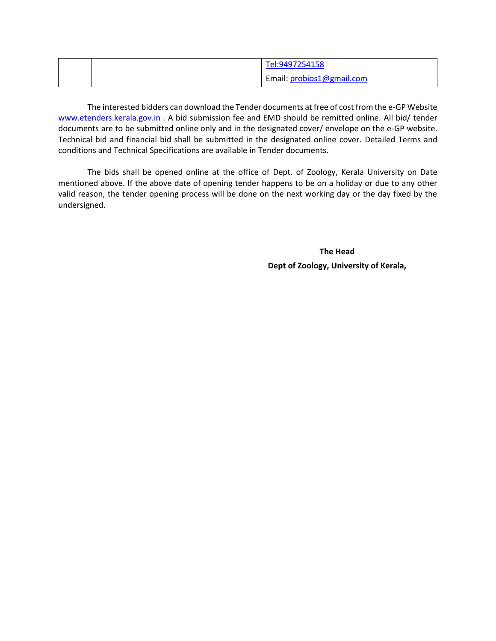|  | Tel:9497254158            |
|--|---------------------------|
|  | Email: probios1@gmail.com |

The interested bidders can download the Tender documents at free of cost from the e-GP Website [www.etenders.kerala.gov.in](http://www.etenders.kerala.gov.in/) . A bid submission fee and EMD should be remitted online. All bid/ tender documents are to be submitted online only and in the designated cover/ envelope on the e-GP website. Technical bid and financial bid shall be submitted in the designated online cover. Detailed Terms and conditions and Technical Specifications are available in Tender documents.

The bids shall be opened online at the office of Dept. of Zoology, Kerala University on Date mentioned above. If the above date of opening tender happens to be on a holiday or due to any other valid reason, the tender opening process will be done on the next working day or the day fixed by the undersigned.

> **The Head Dept of Zoology, University of Kerala,**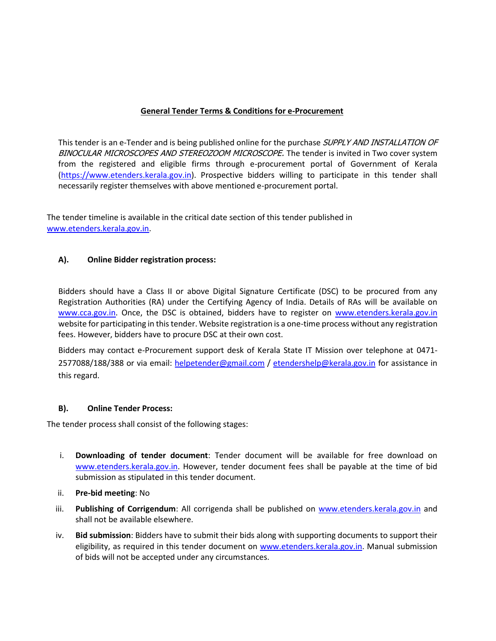#### **General Tender Terms & Conditions for e-Procurement**

This tender is an e-Tender and is being published online for the purchase SUPPLY AND INSTALLATION OF BINOCULAR MICROSCOPES AND STEREOZOOM MICROSCOPE. The tender is invited in Two cover system from the registered and eligible firms through e-procurement portal of Government of Kerala (https:/[/www.etenders.kerala.gov.in\)](http://www.etenders.kerala.gov.in/). Prospective bidders willing to participate in this tender shall necessarily register themselves with above mentioned e-procurement portal.

The tender timeline is available in the critical date section of this tender published in [www.etenders.kerala.gov.in.](http://www.etenders.kerala.gov.in/)

#### **A). Online Bidder registration process:**

Bidders should have a Class II or above Digital Signature Certificate (DSC) to be procured from any Registration Authorities (RA) under the Certifying Agency of India. Details of RAs will be available on [www.cca.gov.in.](http://www.cca.gov.in/) Once, the DSC is obtained, bidders have to register on [www.etenders.kerala.gov.in](http://www.etenders.kerala.gov.in/) website for participating in this tender. Website registration is a one-time process without any registration fees. However, bidders have to procure DSC at their own cost.

Bidders may contact e-Procurement support desk of Kerala State IT Mission over telephone at 0471 2577088/188/388 or via email: [helpetender@gmail.com](mailto:helpetender@gmail.com) / [etendershelp@kerala.gov.in](mailto:etendershelp@kerala.gov.in) for assistance in this regard.

#### **B). Online Tender Process:**

The tender process shall consist of the following stages:

- i. **Downloading of tender document**: Tender document will be available for free download on [www.etenders.kerala.gov.in.](http://www.etenders.kerala.gov.in/) However, tender document fees shall be payable at the time of bid submission as stipulated in this tender document.
- ii. **Pre-bid meeting**: No
- iii. **Publishing of Corrigendum**: All corrigenda shall be published on [www.etenders.kerala.gov.in](http://www.etenders.kerala.gov.in/) and shall not be available elsewhere.
- iv. **Bid submission**: Bidders have to submit their bids along with supporting documents to support their eligibility, as required in this tender document on [www.etenders.kerala.gov.in.](http://www.etenders.kerala.gov.in/) Manual submission of bids will not be accepted under any circumstances.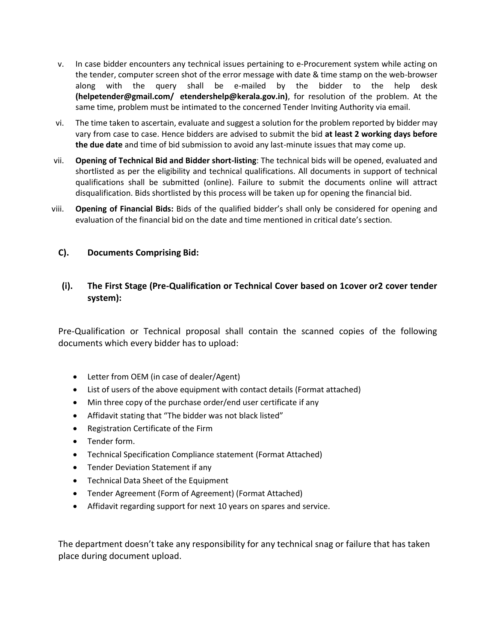- v. In case bidder encounters any technical issues pertaining to e-Procurement system while acting on the tender, computer screen shot of the error message with date & time stamp on the web-browser along with the query shall be e-mailed by the bidder to the help desk **(helpetender@gmail.com/ etendershelp@kerala.gov.in)**, for resolution of the problem. At the same time, problem must be intimated to the concerned Tender Inviting Authority via email.
- vi. The time taken to ascertain, evaluate and suggest a solution for the problem reported by bidder may vary from case to case. Hence bidders are advised to submit the bid **at least 2 working days before the due date** and time of bid submission to avoid any last-minute issues that may come up.
- vii. **Opening of Technical Bid and Bidder short-listing**: The technical bids will be opened, evaluated and shortlisted as per the eligibility and technical qualifications. All documents in support of technical qualifications shall be submitted (online). Failure to submit the documents online will attract disqualification. Bids shortlisted by this process will be taken up for opening the financial bid.
- viii. **Opening of Financial Bids:** Bids of the qualified bidder's shall only be considered for opening and evaluation of the financial bid on the date and time mentioned in critical date's section.

#### **C). Documents Comprising Bid:**

### **(i). The First Stage (Pre-Qualification or Technical Cover based on 1cover or2 cover tender system):**

Pre-Qualification or Technical proposal shall contain the scanned copies of the following documents which every bidder has to upload:

- Letter from OEM (in case of dealer/Agent)
- List of users of the above equipment with contact details (Format attached)
- Min three copy of the purchase order/end user certificate if any
- Affidavit stating that "The bidder was not black listed"
- Registration Certificate of the Firm
- Tender form.
- Technical Specification Compliance statement (Format Attached)
- Tender Deviation Statement if any
- Technical Data Sheet of the Equipment
- Tender Agreement (Form of Agreement) (Format Attached)
- Affidavit regarding support for next 10 years on spares and service.

The department doesn't take any responsibility for any technical snag or failure that has taken place during document upload.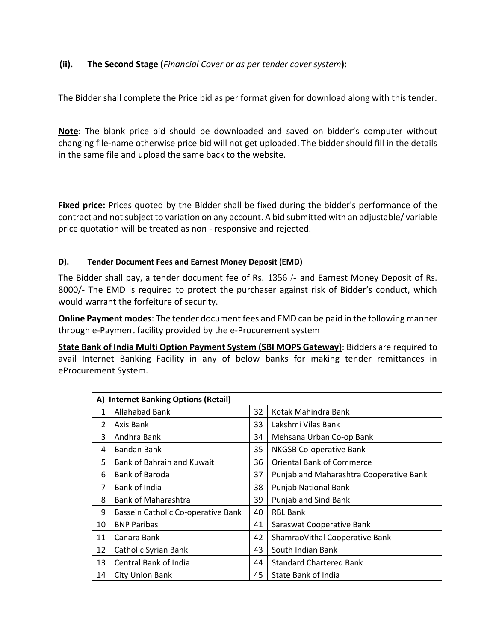## **(ii). The Second Stage (***Financial Cover or as per tender cover system***):**

The Bidder shall complete the Price bid as per format given for download along with this tender.

**Note**: The blank price bid should be downloaded and saved on bidder's computer without changing file-name otherwise price bid will not get uploaded. The bidder should fill in the details in the same file and upload the same back to the website.

**Fixed price:** Prices quoted by the Bidder shall be fixed during the bidder's performance of the contract and not subject to variation on any account. A bid submitted with an adjustable/ variable price quotation will be treated as non - responsive and rejected.

#### **D). Tender Document Fees and Earnest Money Deposit (EMD)**

The Bidder shall pay, a tender document fee of Rs. 1356 /- and Earnest Money Deposit of Rs. 8000/- The EMD is required to protect the purchaser against risk of Bidder's conduct, which would warrant the forfeiture of security.

**Online Payment modes**: The tender document fees and EMD can be paid in the following manner through e-Payment facility provided by the e-Procurement system

**State Bank of India Multi Option Payment System (SBI MOPS Gateway)**: Bidders are required to avail Internet Banking Facility in any of below banks for making tender remittances in eProcurement System.

| <b>Internet Banking Options (Retail)</b><br>A) |                                    |    |                                         |
|------------------------------------------------|------------------------------------|----|-----------------------------------------|
| 1                                              | Allahabad Bank                     | 32 | Kotak Mahindra Bank                     |
| $\mathfrak{p}$                                 | Axis Bank                          | 33 | Lakshmi Vilas Bank                      |
| 3                                              | Andhra Bank                        | 34 | Mehsana Urban Co-op Bank                |
| 4                                              | Bandan Bank                        | 35 | <b>NKGSB Co-operative Bank</b>          |
| 5                                              | Bank of Bahrain and Kuwait         | 36 | <b>Oriental Bank of Commerce</b>        |
| 6                                              | Bank of Baroda                     | 37 | Punjab and Maharashtra Cooperative Bank |
| 7                                              | Bank of India                      | 38 | Punjab National Bank                    |
| 8                                              | <b>Bank of Maharashtra</b>         | 39 | Punjab and Sind Bank                    |
| 9                                              | Bassein Catholic Co-operative Bank | 40 | <b>RBL Bank</b>                         |
| 10                                             | <b>BNP Paribas</b>                 | 41 | Saraswat Cooperative Bank               |
| 11                                             | Canara Bank                        | 42 | ShamraoVithal Cooperative Bank          |
| 12                                             | Catholic Syrian Bank               | 43 | South Indian Bank                       |
| 13                                             | Central Bank of India              | 44 | <b>Standard Chartered Bank</b>          |
| 14                                             | <b>City Union Bank</b>             | 45 | State Bank of India                     |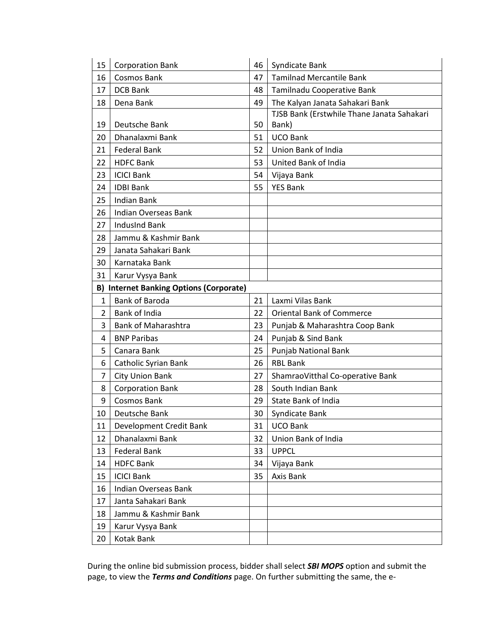| 15             | <b>Corporation Bank</b>                        | 46 | Syndicate Bank                             |
|----------------|------------------------------------------------|----|--------------------------------------------|
| 16             | <b>Cosmos Bank</b>                             | 47 | <b>Tamilnad Mercantile Bank</b>            |
| 17             | <b>DCB Bank</b>                                | 48 | Tamilnadu Cooperative Bank                 |
| 18             | Dena Bank                                      | 49 | The Kalyan Janata Sahakari Bank            |
|                |                                                |    | TJSB Bank (Erstwhile Thane Janata Sahakari |
| 19             | Deutsche Bank                                  | 50 | Bank)                                      |
| 20             | Dhanalaxmi Bank                                | 51 | <b>UCO Bank</b>                            |
| 21             | <b>Federal Bank</b>                            | 52 | Union Bank of India                        |
| 22             | <b>HDFC Bank</b>                               | 53 | United Bank of India                       |
| 23             | <b>ICICI Bank</b>                              | 54 | Vijaya Bank                                |
| 24             | <b>IDBI Bank</b>                               | 55 | <b>YES Bank</b>                            |
| 25             | <b>Indian Bank</b>                             |    |                                            |
| 26             | Indian Overseas Bank                           |    |                                            |
| 27             | <b>IndusInd Bank</b>                           |    |                                            |
| 28             | Jammu & Kashmir Bank                           |    |                                            |
| 29             | Janata Sahakari Bank                           |    |                                            |
| 30             | Karnataka Bank                                 |    |                                            |
| 31             | Karur Vysya Bank                               |    |                                            |
|                | <b>B) Internet Banking Options (Corporate)</b> |    |                                            |
| $\mathbf{1}$   | <b>Bank of Baroda</b>                          | 21 | Laxmi Vilas Bank                           |
| 2              | Bank of India                                  | 22 | <b>Oriental Bank of Commerce</b>           |
| 3              | <b>Bank of Maharashtra</b>                     | 23 | Punjab & Maharashtra Coop Bank             |
| 4              | <b>BNP Paribas</b>                             | 24 | Punjab & Sind Bank                         |
| 5              | Canara Bank                                    | 25 | Punjab National Bank                       |
| 6              | Catholic Syrian Bank                           | 26 | <b>RBL Bank</b>                            |
| $\overline{7}$ | City Union Bank                                | 27 | ShamraoVitthal Co-operative Bank           |
| 8              | <b>Corporation Bank</b>                        | 28 | South Indian Bank                          |
| 9              | <b>Cosmos Bank</b>                             | 29 | State Bank of India                        |
| 10             | Deutsche Bank                                  | 30 | Syndicate Bank                             |
| 11             | Development Credit Bank                        | 31 | <b>UCO Bank</b>                            |
| 12             | Dhanalaxmi Bank                                | 32 | Union Bank of India                        |
| 13             | <b>Federal Bank</b>                            | 33 | <b>UPPCL</b>                               |
| 14             | <b>HDFC Bank</b>                               | 34 | Vijaya Bank                                |
| 15             | <b>ICICI Bank</b>                              | 35 | Axis Bank                                  |
| 16             | <b>Indian Overseas Bank</b>                    |    |                                            |
| 17             | Janta Sahakari Bank                            |    |                                            |
| 18             | Jammu & Kashmir Bank                           |    |                                            |
| 19             | Karur Vysya Bank                               |    |                                            |
| 20             | Kotak Bank                                     |    |                                            |

During the online bid submission process, bidder shall select *SBI MOPS* option and submit the page, to view the *Terms and Conditions* page. On further submitting the same, the e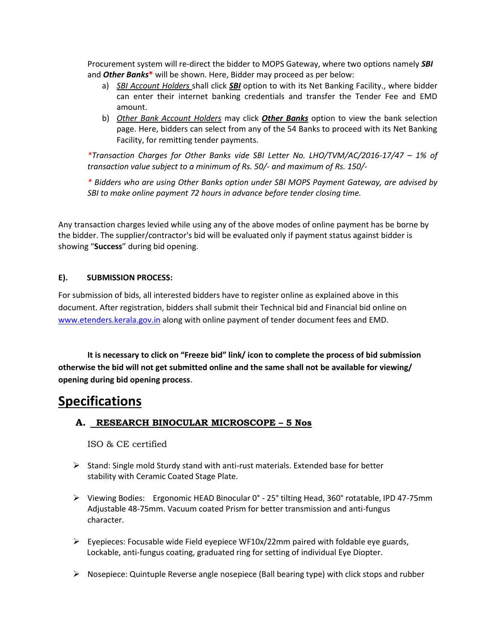Procurement system will re-direct the bidder to MOPS Gateway, where two options namely *SBI* and *Other Banks***\*** will be shown. Here, Bidder may proceed as per below:

- a) *SBI Account Holders* shall click *SBI* option to with its Net Banking Facility., where bidder can enter their internet banking credentials and transfer the Tender Fee and EMD amount.
- b) *Other Bank Account Holders* may click *Other Banks* option to view the bank selection page. Here, bidders can select from any of the 54 Banks to proceed with its Net Banking Facility, for remitting tender payments.

*\*Transaction Charges for Other Banks vide SBI Letter No. LHO/TVM/AC/2016-17/47 – 1% of transaction value subject to a minimum of Rs. 50/- and maximum of Rs. 150/-*

*\* Bidders who are using Other Banks option under SBI MOPS Payment Gateway, are advised by SBI to make online payment 72 hours in advance before tender closing time.*

Any transaction charges levied while using any of the above modes of online payment has be borne by the bidder. The supplier/contractor's bid will be evaluated only if payment status against bidder is showing "**Success**" during bid opening.

#### **E). SUBMISSION PROCESS:**

For submission of bids, all interested bidders have to register online as explained above in this document. After registration, bidders shall submit their Technical bid and Financial bid online on [www.etenders.kerala.gov.in](http://www.etenders.kerala.gov.in/) along with online payment of tender document fees and EMD.

**It is necessary to click on "Freeze bid" link/ icon to complete the process of bid submission otherwise the bid will not get submitted online and the same shall not be available for viewing/ opening during bid opening process**.

# **Specifications**

## **A. RESEARCH BINOCULAR MICROSCOPE – 5 Nos**

ISO & CE certified

- ➢ Stand: Single mold Sturdy stand with anti-rust materials. Extended base for better stability with Ceramic Coated Stage Plate.
- ➢ Viewing Bodies: Ergonomic HEAD Binocular 0° 25° tilting Head, 360° rotatable, IPD 47-75mm Adjustable 48-75mm. Vacuum coated Prism for better transmission and anti-fungus character.
- $\triangleright$  Eyepieces: Focusable wide Field eyepiece WF10x/22mm paired with foldable eye guards, Lockable, anti-fungus coating, graduated ring for setting of individual Eye Diopter.
- $\triangleright$  Nosepiece: Quintuple Reverse angle nosepiece (Ball bearing type) with click stops and rubber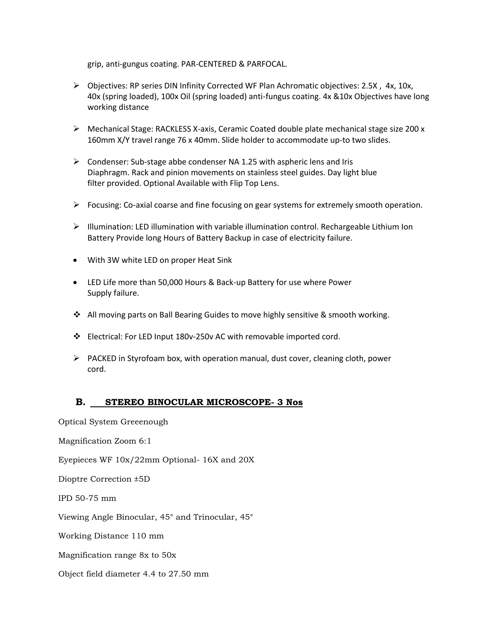grip, anti-gungus coating. PAR-CENTERED & PARFOCAL.

- ➢ Objectives: RP series DIN Infinity Corrected WF Plan Achromatic objectives: 2.5X , 4x, 10x, 40x (spring loaded), 100x Oil (spring loaded) anti-fungus coating. 4x &10x Objectives have long working distance
- ➢ Mechanical Stage: RACKLESS X-axis, Ceramic Coated double plate mechanical stage size 200 x 160mm X/Y travel range 76 x 40mm. Slide holder to accommodate up-to two slides.
- ➢ Condenser: Sub-stage abbe condenser NA 1.25 with aspheric lens and Iris Diaphragm. Rack and pinion movements on stainless steel guides. Day light blue filter provided. Optional Available with Flip Top Lens.
- $\triangleright$  Focusing: Co-axial coarse and fine focusing on gear systems for extremely smooth operation.
- ➢ Illumination: LED illumination with variable illumination control. Rechargeable Lithium Ion Battery Provide long Hours of Battery Backup in case of electricity failure.
- With 3W white LED on proper Heat Sink
- LED Life more than 50,000 Hours & Back-up Battery for use where Power Supply failure.
- ❖ All moving parts on Ball Bearing Guides to move highly sensitive & smooth working.
- ❖ Electrical: For LED Input 180v-250v AC with removable imported cord.
- $\triangleright$  PACKED in Styrofoam box, with operation manual, dust cover, cleaning cloth, power cord.

#### **B. STEREO BINOCULAR MICROSCOPE- 3 Nos**

Optical System Greeenough

Magnification Zoom 6:1

Eyepieces WF 10x/22mm Optional- 16X and 20X

Dioptre Correction ±5D

IPD 50-75 mm

Viewing Angle Binocular, 45° and Trinocular, 45°

Working Distance 110 mm

Magnification range 8x to 50x

Object field diameter 4.4 to 27.50 mm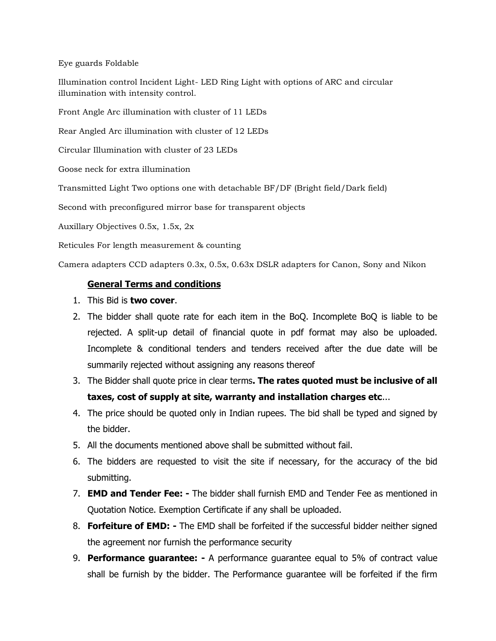Eye guards Foldable

Illumination control Incident Light- LED Ring Light with options of ARC and circular illumination with intensity control.

Front Angle Arc illumination with cluster of 11 LEDs

Rear Angled Arc illumination with cluster of 12 LEDs

Circular Illumination with cluster of 23 LEDs

Goose neck for extra illumination

Transmitted Light Two options one with detachable BF/DF (Bright field/Dark field)

Second with preconfigured mirror base for transparent objects

Auxillary Objectives 0.5x, 1.5x, 2x

Reticules For length measurement & counting

Camera adapters CCD adapters 0.3x, 0.5x, 0.63x DSLR adapters for Canon, Sony and Nikon

#### **General Terms and conditions**

- 1. This Bid is **two cover**.
- 2. The bidder shall quote rate for each item in the BoQ. Incomplete BoQ is liable to be rejected. A split-up detail of financial quote in pdf format may also be uploaded. Incomplete & conditional tenders and tenders received after the due date will be summarily rejected without assigning any reasons thereof
- 3. The Bidder shall quote price in clear terms**. The rates quoted must be inclusive of all taxes, cost of supply at site, warranty and installation charges etc**...
- 4. The price should be quoted only in Indian rupees. The bid shall be typed and signed by the bidder.
- 5. All the documents mentioned above shall be submitted without fail.
- 6. The bidders are requested to visit the site if necessary, for the accuracy of the bid submitting.
- 7. **EMD and Tender Fee: -** The bidder shall furnish EMD and Tender Fee as mentioned in Quotation Notice. Exemption Certificate if any shall be uploaded.
- 8. **Forfeiture of EMD: -** The EMD shall be forfeited if the successful bidder neither signed the agreement nor furnish the performance security
- 9. **Performance guarantee: -** A performance guarantee equal to 5% of contract value shall be furnish by the bidder. The Performance guarantee will be forfeited if the firm